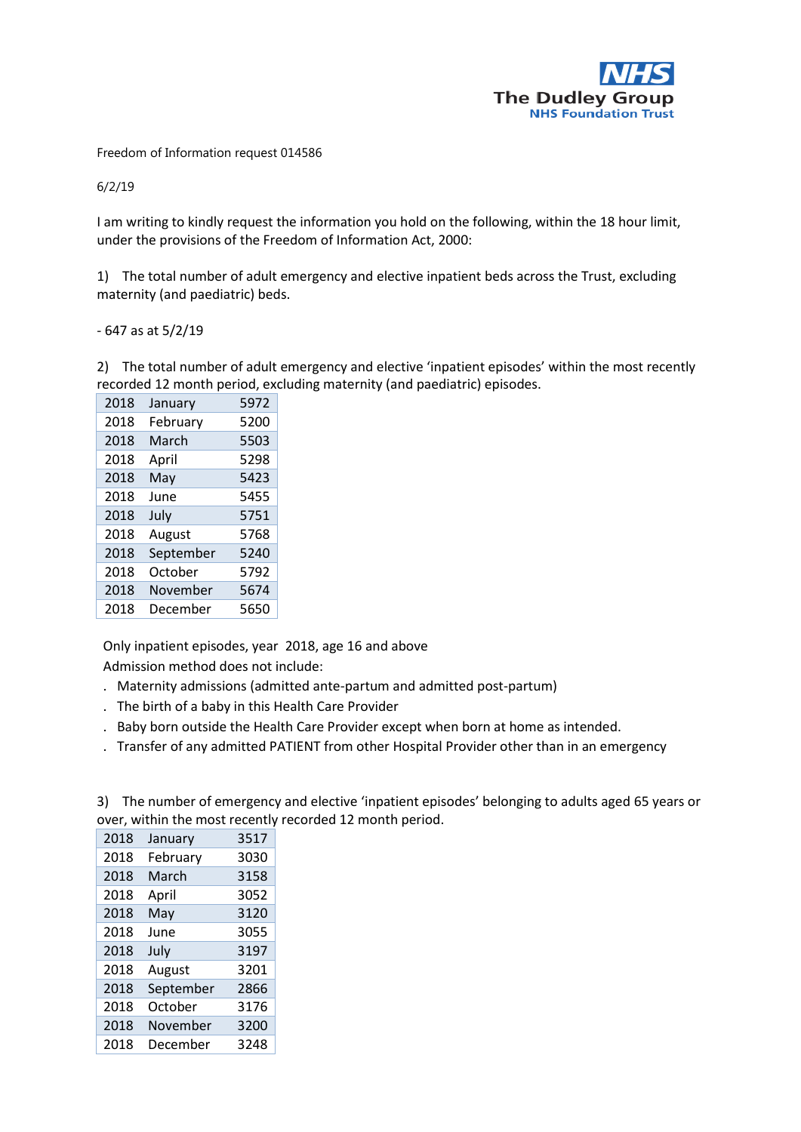

Freedom of Information request 014586

6/2/19

I am writing to kindly request the information you hold on the following, within the 18 hour limit, under the provisions of the Freedom of Information Act, 2000:

1) The total number of adult emergency and elective inpatient beds across the Trust, excluding maternity (and paediatric) beds.

- 647 as at 5/2/19

2) The total number of adult emergency and elective 'inpatient episodes' within the most recently recorded 12 month period, excluding maternity (and paediatric) episodes.

| 2018 | January   | 5972 |
|------|-----------|------|
| 2018 | February  | 5200 |
| 2018 | March     | 5503 |
| 2018 | April     | 5298 |
| 2018 | May       | 5423 |
| 2018 | June      | 5455 |
| 2018 | July      | 5751 |
| 2018 | August    | 5768 |
| 2018 | September | 5240 |
| 2018 | October   | 5792 |
| 2018 | November  | 5674 |
| 2018 | December  | 5650 |

Only inpatient episodes, year 2018, age 16 and above

Admission method does not include:

- . Maternity admissions (admitted ante-partum and admitted post-partum)
- . The birth of a baby in this Health Care Provider
- . Baby born outside the Health Care Provider except when born at home as intended.
- . Transfer of any admitted PATIENT from other Hospital Provider other than in an emergency

| 3) The number of emergency and elective 'inpatient episodes' belonging to adults aged 65 years or |
|---------------------------------------------------------------------------------------------------|
| over, within the most recently recorded 12 month period.                                          |

| 2018 | January   | 3517 |
|------|-----------|------|
| 2018 | February  | 3030 |
| 2018 | March     | 3158 |
| 2018 | April     | 3052 |
| 2018 | May       | 3120 |
| 2018 | June      | 3055 |
| 2018 | July      | 3197 |
| 2018 | August    | 3201 |
| 2018 | September | 2866 |
| 2018 | October   | 3176 |
| 2018 | November  | 3200 |
| 2018 | December  | 3248 |